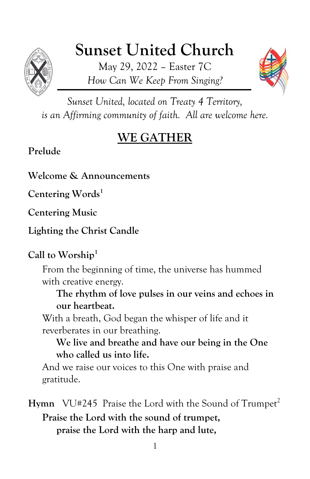

# **Sunset United Church**

May 29, 2022 – Easter 7C *How Can We Keep From Singing?*



*Sunset United, located on Treaty 4 Territory, is an Affirming community of faith. All are welcome here.*

## **WE GATHER**

**Prelude**

**Welcome & Announcements**

**Centering Words<sup>1</sup>**

**Centering Music**

**Lighting the Christ Candle**

## **Call to Worship<sup>1</sup>**

From the beginning of time, the universe has hummed with creative energy.

**The rhythm of love pulses in our veins and echoes in our heartbeat.**

With a breath, God began the whisper of life and it reverberates in our breathing.

**We live and breathe and have our being in the One who called us into life.**

And we raise our voices to this One with praise and gratitude.

**Hymn** VU#245 Praise the Lord with the Sound of Trumpet<sup>2</sup> **Praise the Lord with the sound of trumpet, praise the Lord with the harp and lute,**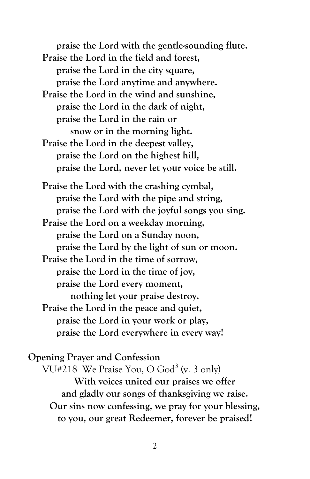**praise the Lord with the gentle-sounding flute. Praise the Lord in the field and forest,**

**praise the Lord in the city square, praise the Lord anytime and anywhere.**

- **Praise the Lord in the wind and sunshine, praise the Lord in the dark of night, praise the Lord in the rain or snow or in the morning light.**
- **Praise the Lord in the deepest valley, praise the Lord on the highest hill, praise the Lord, never let your voice be still.**

**Praise the Lord with the crashing cymbal, praise the Lord with the pipe and string, praise the Lord with the joyful songs you sing.**

- **Praise the Lord on a weekday morning, praise the Lord on a Sunday noon, praise the Lord by the light of sun or moon.**
- **Praise the Lord in the time of sorrow, praise the Lord in the time of joy, praise the Lord every moment, nothing let your praise destroy.**

**Praise the Lord in the peace and quiet, praise the Lord in your work or play, praise the Lord everywhere in every way!**

**Opening Prayer and Confession**

VU#218 We Praise You, O God<sup>3</sup> (v. 3 only) **With voices united our praises we offer and gladly our songs of thanksgiving we raise. Our sins now confessing, we pray for your blessing, to you, our great Redeemer, forever be praised!**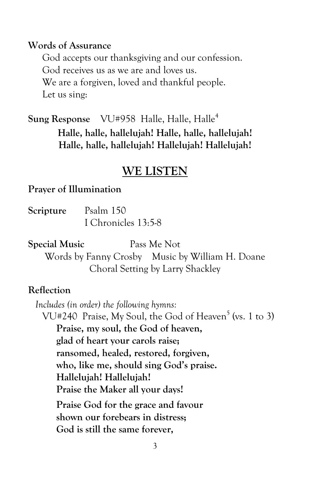#### **Words of Assurance**

God accepts our thanksgiving and our confession. God receives us as we are and loves us. We are a forgiven, loved and thankful people. Let us sing:

**Sung Response** VU#958 Halle, Halle, Halle<sup>4</sup> **Halle, halle, hallelujah! Halle, halle, hallelujah! Halle, halle, hallelujah! Hallelujah! Hallelujah!**

## **WE LISTEN**

### **Prayer of Illumination**

**Scripture** Psalm 150 I Chronicles 13:5-8

**Special Music** Pass Me Not Words by Fanny Crosby Music by William H. Doane Choral Setting by Larry Shackley

#### **Reflection**

*Includes (in order) the following hymns:* VU#240 Praise, My Soul, the God of Heaven $^5$  (vs. 1 to 3) **Praise, my soul, the God of heaven, glad of heart your carols raise; ransomed, healed, restored, forgiven, who, like me, should sing God's praise. Hallelujah! Hallelujah! Praise the Maker all your days! Praise God for the grace and favour shown our forebears in distress; God is still the same forever,**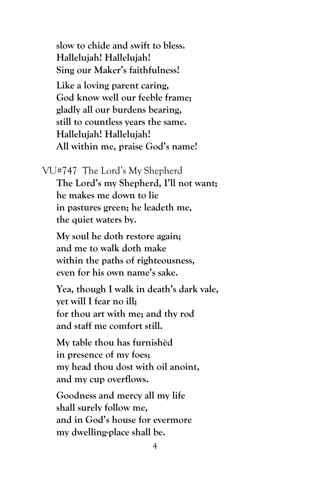**slow to chide and swift to bless. Hallelujah! Hallelujah! Sing our Maker's faithfulness!**

**Like a loving parent caring, God know well our feeble frame; gladly all our burdens bearing, still to countless years the same. Hallelujah! Hallelujah! All within me, praise God's name!**

VU#747 The Lord's My Shepherd

**The Lord's my Shepherd, I'll not want; he makes me down to lie in pastures green; he leadeth me, the quiet waters by.**

**My soul he doth restore again; and me to walk doth make within the paths of righteousness, even for his own name's sake.**

**Yea, though I walk in death's dark vale, yet will I fear no ill; for thou art with me; and thy rod and staff me comfort still.**

**My table thou has furnishèd in presence of my foes; my head thou dost with oil anoint, and my cup overflows.**

**Goodness and mercy all my life shall surely follow me, and in God's house for evermore my dwelling-place shall be.**

4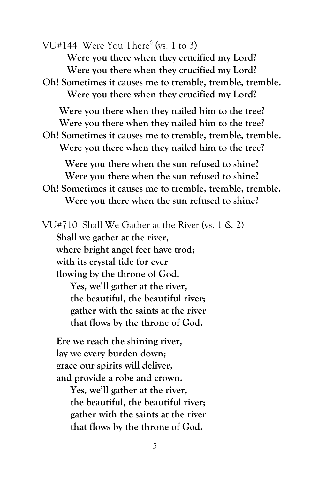VU#144 Were You There<sup>6</sup> (vs. 1 to 3) **Were you there when they crucified my Lord? Were you there when they crucified my Lord? Oh! Sometimes it causes me to tremble, tremble, tremble. Were you there when they crucified my Lord? Were you there when they nailed him to the tree? Were you there when they nailed him to the tree? Oh! Sometimes it causes me to tremble, tremble, tremble.**

**Were you there when they nailed him to the tree?**

**Were you there when the sun refused to shine? Were you there when the sun refused to shine? Oh! Sometimes it causes me to tremble, tremble, tremble. Were you there when the sun refused to shine?**

VU#710 Shall We Gather at the River (vs. 1 & 2) **Shall we gather at the river, where bright angel feet have trod; with its crystal tide for ever flowing by the throne of God. Yes, we'll gather at the river, the beautiful, the beautiful river; gather with the saints at the river that flows by the throne of God.**

**Ere we reach the shining river, lay we every burden down; grace our spirits will deliver, and provide a robe and crown.**

> **Yes, we'll gather at the river, the beautiful, the beautiful river; gather with the saints at the river that flows by the throne of God.**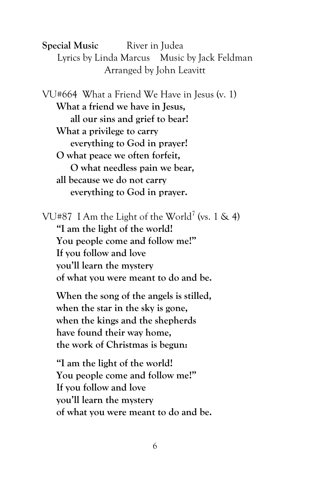**Special Music** River in Judea Lyrics by Linda Marcus Music by Jack Feldman Arranged by John Leavitt

VU#664 What a Friend We Have in Jesus (v. 1) **What a friend we have in Jesus, all our sins and grief to bear! What a privilege to carry everything to God in prayer! O what peace we often forfeit, O what needless pain we bear, all because we do not carry everything to God in prayer.**

VU#87 I Am the Light of the World<sup>7</sup> (vs. 1 & 4) **"I am the light of the world! You people come and follow me!" If you follow and love you'll learn the mystery of what you were meant to do and be.**

**When the song of the angels is stilled, when the star in the sky is gone, when the kings and the shepherds have found their way home, the work of Christmas is begun:**

**"I am the light of the world! You people come and follow me!" If you follow and love you'll learn the mystery of what you were meant to do and be.**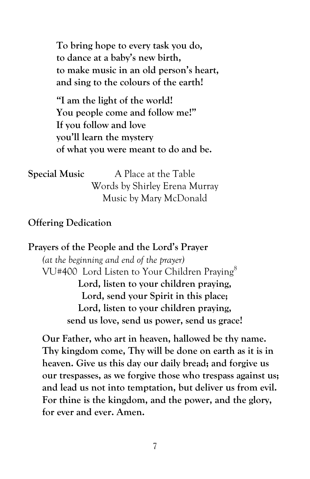**To bring hope to every task you do, to dance at a baby's new birth, to make music in an old person's heart, and sing to the colours of the earth!**

**"I am the light of the world! You people come and follow me!" If you follow and love you'll learn the mystery of what you were meant to do and be.**

| <b>Special Music</b> | A Place at the Table          |
|----------------------|-------------------------------|
|                      | Words by Shirley Erena Murray |
|                      | Music by Mary McDonald        |

### **Offering Dedication**

**Prayers of the People and the Lord's Prayer** *(at the beginning and end of the prayer)* VU#400 Lord Listen to Your Children Praying<sup>8</sup> **Lord, listen to your children praying, Lord, send your Spirit in this place; Lord, listen to your children praying, send us love, send us power, send us grace!**

**Our Father, who art in heaven, hallowed be thy name. Thy kingdom come, Thy will be done on earth as it is in heaven. Give us this day our daily bread; and forgive us our trespasses, as we forgive those who trespass against us; and lead us not into temptation, but deliver us from evil. For thine is the kingdom, and the power, and the glory, for ever and ever. Amen.**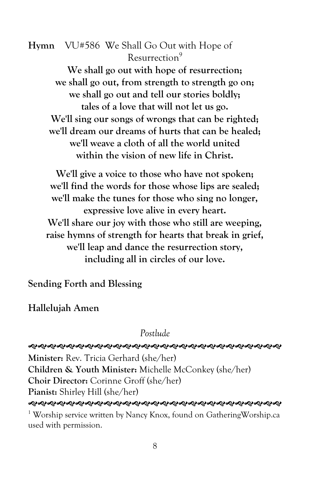## **Hymn** VU#586 We Shall Go Out with Hope of Resurrection<sup>9</sup>

**We shall go out with hope of resurrection; we shall go out, from strength to strength go on; we shall go out and tell our stories boldly; tales of a love that will not let us go. We'll sing our songs of wrongs that can be righted; we'll dream our dreams of hurts that can be healed; we'll weave a cloth of all the world united within the vision of new life in Christ.**

**We'll give a voice to those who have not spoken; we'll find the words for those whose lips are sealed; we'll make the tunes for those who sing no longer, expressive love alive in every heart. We'll share our joy with those who still are weeping, raise hymns of strength for hearts that break in grief, we'll leap and dance the resurrection story, including all in circles of our love.**

**Sending Forth and Blessing**

**Hallelujah Amen**

*Postlude*

**ଶଶଶଶଶଶଶଶଶଶଶଶଶଶଶଶଶଶଶଶଶଶଶଶଶଶଶଶଶ**ଶଶ

**Minister:** Rev. Tricia Gerhard (she/her) **Children & Youth Minister:** Michelle McConkey (she/her) **Choir Director:** Corinne Groff (she/her) **Pianist:** Shirley Hill (she/her) **ର୍ଶ୍ୟକ୍ରମ୍ୟର୍କ୍ୟିଟ୍ୟିଟ୍ରାସିନ୍ୟିଟ୍ୟିଟ୍ରାସିନ୍ୟିଟ୍ରାସିଟ୍ରାସିଟ୍ରାସିନ୍ୟିଟ୍ରାସିନ୍** <sup>1</sup> Worship service written by Nancy Knox, found on Gathering Worship.ca

used with permission.